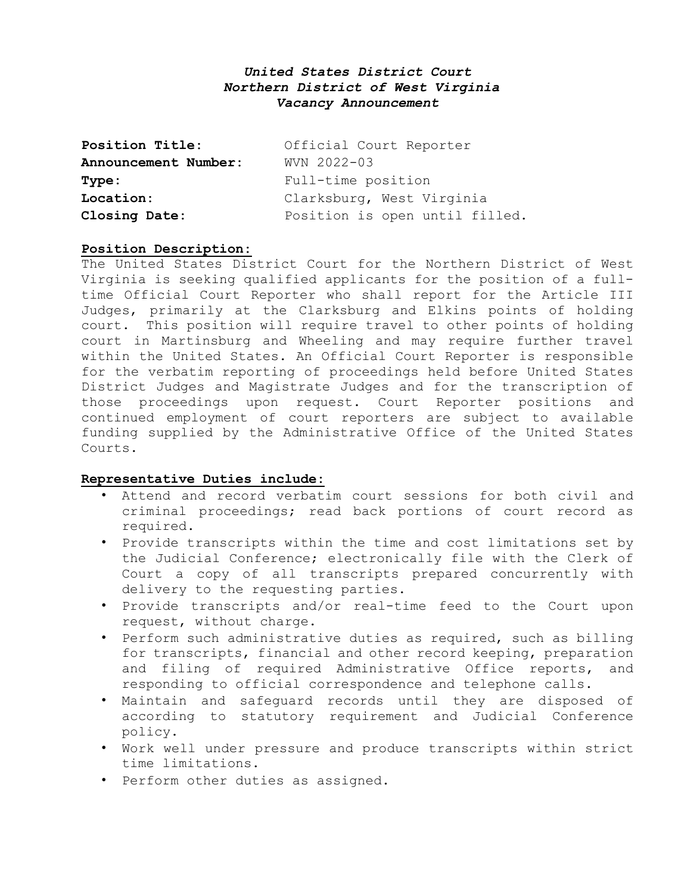# *United States District Court Northern District of West Virginia Vacancy Announcement*

| Position Title:      | Official Court Reporter        |
|----------------------|--------------------------------|
| Announcement Number: | WVN 2022-03                    |
| Type:                | Full-time position             |
| Location:            | Clarksburg, West Virginia      |
| Closing Date:        | Position is open until filled. |

## **Position Description:**

The United States District Court for the Northern District of West Virginia is seeking qualified applicants for the position of a fulltime Official Court Reporter who shall report for the Article III Judges, primarily at the Clarksburg and Elkins points of holding court. This position will require travel to other points of holding court in Martinsburg and Wheeling and may require further travel within the United States. An Official Court Reporter is responsible for the verbatim reporting of proceedings held before United States District Judges and Magistrate Judges and for the transcription of those proceedings upon request. Court Reporter positions and continued employment of court reporters are subject to available funding supplied by the Administrative Office of the United States Courts.

### **Representative Duties include:**

- Attend and record verbatim court sessions for both civil and criminal proceedings; read back portions of court record as required.
- Provide transcripts within the time and cost limitations set by the Judicial Conference; electronically file with the Clerk of Court a copy of all transcripts prepared concurrently with delivery to the requesting parties.
- Provide transcripts and/or real-time feed to the Court upon request, without charge.
- Perform such administrative duties as required, such as billing for transcripts, financial and other record keeping, preparation and filing of required Administrative Office reports, and responding to official correspondence and telephone calls.
- Maintain and safeguard records until they are disposed of according to statutory requirement and Judicial Conference policy.
- Work well under pressure and produce transcripts within strict time limitations.
- Perform other duties as assigned.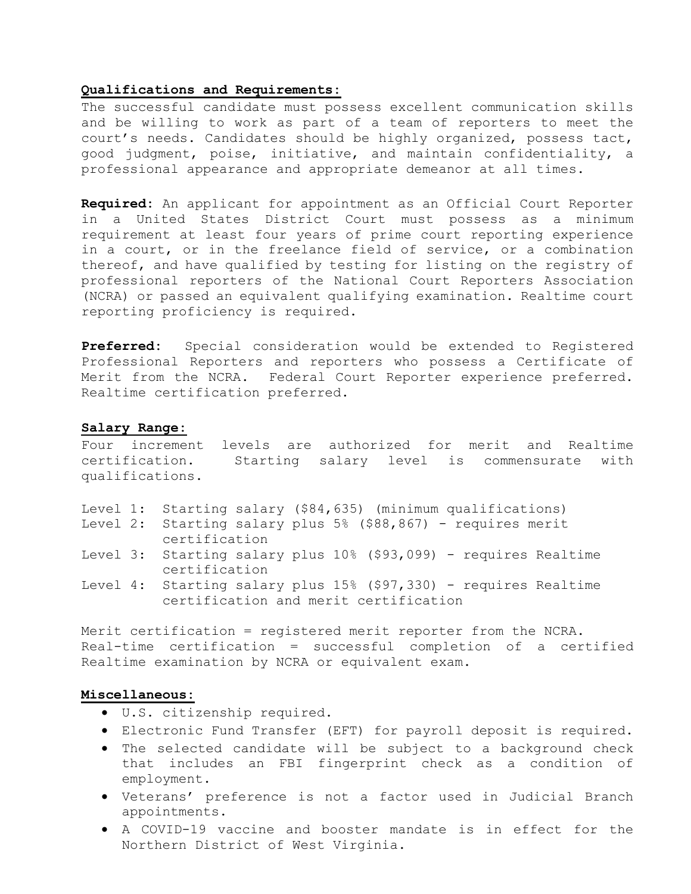### **Qualifications and Requirements:**

The successful candidate must possess excellent communication skills and be willing to work as part of a team of reporters to meet the court's needs. Candidates should be highly organized, possess tact, good judgment, poise, initiative, and maintain confidentiality, a professional appearance and appropriate demeanor at all times.

**Required:** An applicant for appointment as an Official Court Reporter in a United States District Court must possess as a minimum requirement at least four years of prime court reporting experience in a court, or in the freelance field of service, or a combination thereof, and have qualified by testing for listing on the registry of professional reporters of the National Court Reporters Association (NCRA) or passed an equivalent qualifying examination. Realtime court reporting proficiency is required.

**Preferred:** Special consideration would be extended to Registered Professional Reporters and reporters who possess a Certificate of Merit from the NCRA. Federal Court Reporter experience preferred. Realtime certification preferred.

#### **Salary Range:**

Four increment levels are authorized for merit and Realtime<br>certification. Starting salary level is commensurate with Starting salary level is commensurate qualifications.

- Level 1: Starting salary (\$84,635) (minimum qualifications)
- Level 2: Starting salary plus 5% (\$88,867) requires merit certification
- Level 3: Starting salary plus 10% (\$93,099) requires Realtime certification
- Level 4: Starting salary plus 15% (\$97,330) requires Realtime certification and merit certification

Merit certification = registered merit reporter from the NCRA. Real-time certification = successful completion of a certified Realtime examination by NCRA or equivalent exam.

#### **Miscellaneous:**

- U.S. citizenship required.
- Electronic Fund Transfer (EFT) for payroll deposit is required.
- The selected candidate will be subject to a background check that includes an FBI fingerprint check as a condition of employment.
- Veterans' preference is not a factor used in Judicial Branch appointments.
- A COVID-19 vaccine and booster mandate is in effect for the Northern District of West Virginia.